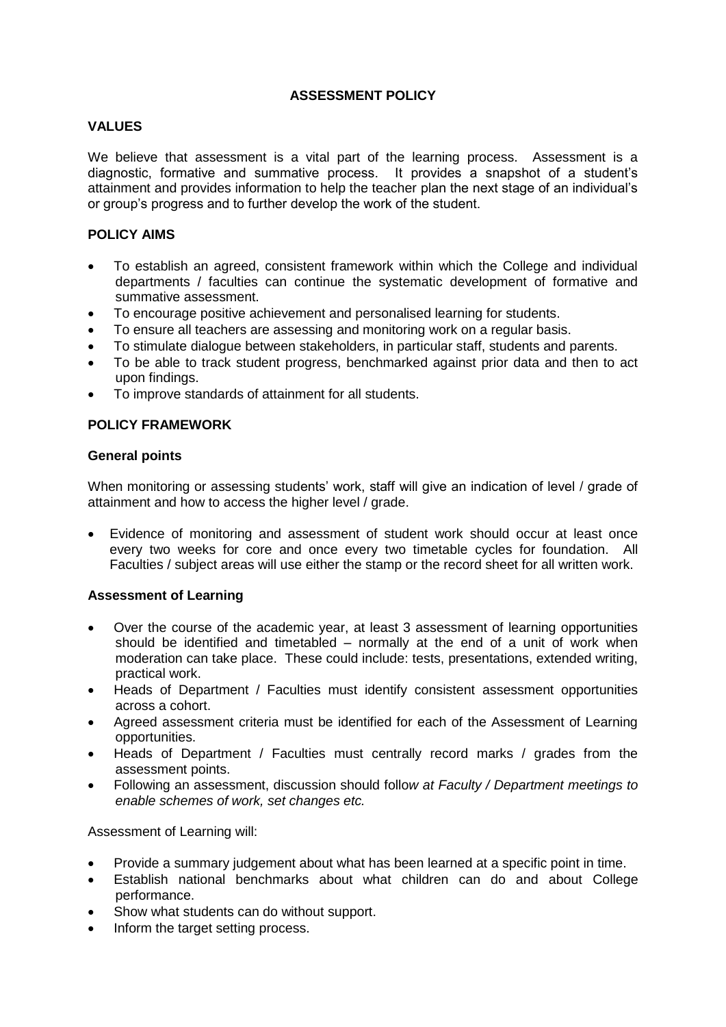# **ASSESSMENT POLICY**

## **VALUES**

We believe that assessment is a vital part of the learning process. Assessment is a diagnostic, formative and summative process. It provides a snapshot of a student's attainment and provides information to help the teacher plan the next stage of an individual's or group's progress and to further develop the work of the student.

# **POLICY AIMS**

- To establish an agreed, consistent framework within which the College and individual departments / faculties can continue the systematic development of formative and summative assessment.
- To encourage positive achievement and personalised learning for students.
- To ensure all teachers are assessing and monitoring work on a regular basis.
- To stimulate dialogue between stakeholders, in particular staff, students and parents.
- To be able to track student progress, benchmarked against prior data and then to act upon findings.
- To improve standards of attainment for all students.

# **POLICY FRAMEWORK**

#### **General points**

When monitoring or assessing students' work, staff will give an indication of level / grade of attainment and how to access the higher level / grade.

 Evidence of monitoring and assessment of student work should occur at least once every two weeks for core and once every two timetable cycles for foundation. All Faculties / subject areas will use either the stamp or the record sheet for all written work.

#### **Assessment of Learning**

- Over the course of the academic year, at least 3 assessment of learning opportunities should be identified and timetabled – normally at the end of a unit of work when moderation can take place. These could include: tests, presentations, extended writing, practical work.
- Heads of Department / Faculties must identify consistent assessment opportunities across a cohort.
- Agreed assessment criteria must be identified for each of the Assessment of Learning opportunities.
- Heads of Department / Faculties must centrally record marks / grades from the assessment points.
- Following an assessment, discussion should follo*w at Faculty / Department meetings to enable schemes of work, set changes etc.*

Assessment of Learning will:

- Provide a summary judgement about what has been learned at a specific point in time.
- Establish national benchmarks about what children can do and about College performance.
- Show what students can do without support.
- Inform the target setting process.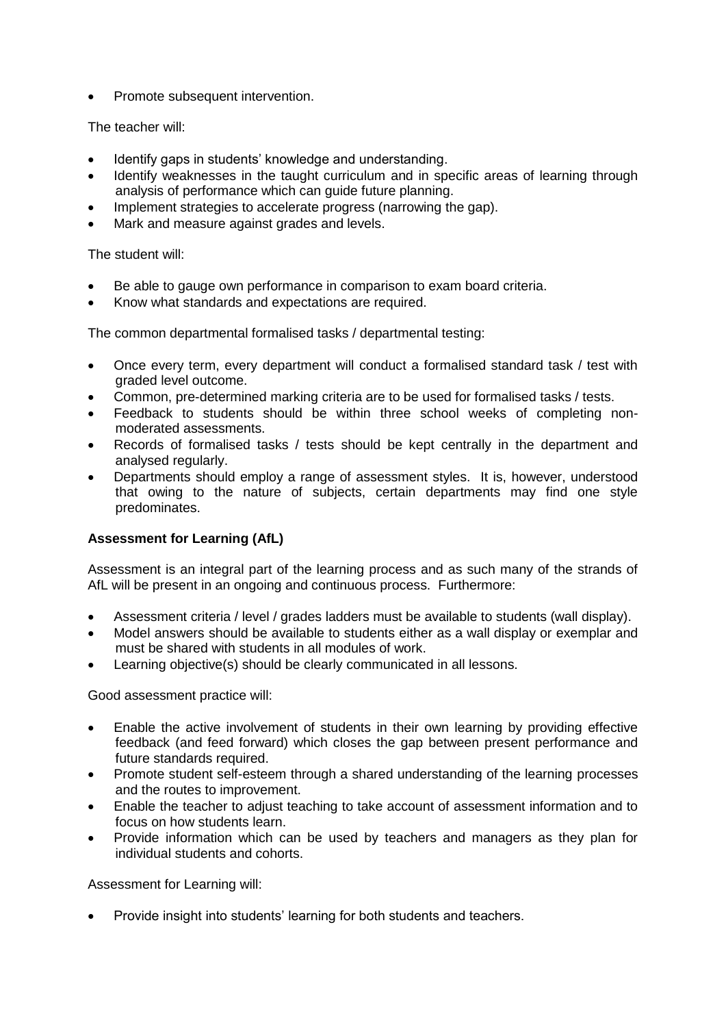• Promote subsequent intervention.

The teacher will:

- Identify gaps in students' knowledge and understanding.
- Identify weaknesses in the taught curriculum and in specific areas of learning through analysis of performance which can guide future planning.
- Implement strategies to accelerate progress (narrowing the gap).
- Mark and measure against grades and levels.

The student will:

- Be able to gauge own performance in comparison to exam board criteria.
- Know what standards and expectations are required.

The common departmental formalised tasks / departmental testing:

- Once every term, every department will conduct a formalised standard task / test with graded level outcome.
- Common, pre-determined marking criteria are to be used for formalised tasks / tests.
- Feedback to students should be within three school weeks of completing nonmoderated assessments.
- Records of formalised tasks / tests should be kept centrally in the department and analysed regularly.
- Departments should employ a range of assessment styles. It is, however, understood that owing to the nature of subjects, certain departments may find one style predominates.

# **Assessment for Learning (AfL)**

Assessment is an integral part of the learning process and as such many of the strands of AfL will be present in an ongoing and continuous process. Furthermore:

- Assessment criteria / level / grades ladders must be available to students (wall display).
- Model answers should be available to students either as a wall display or exemplar and must be shared with students in all modules of work.
- Learning objective(s) should be clearly communicated in all lessons.

Good assessment practice will:

- Enable the active involvement of students in their own learning by providing effective feedback (and feed forward) which closes the gap between present performance and future standards required.
- Promote student self-esteem through a shared understanding of the learning processes and the routes to improvement.
- Enable the teacher to adjust teaching to take account of assessment information and to focus on how students learn.
- Provide information which can be used by teachers and managers as they plan for individual students and cohorts.

Assessment for Learning will:

Provide insight into students' learning for both students and teachers.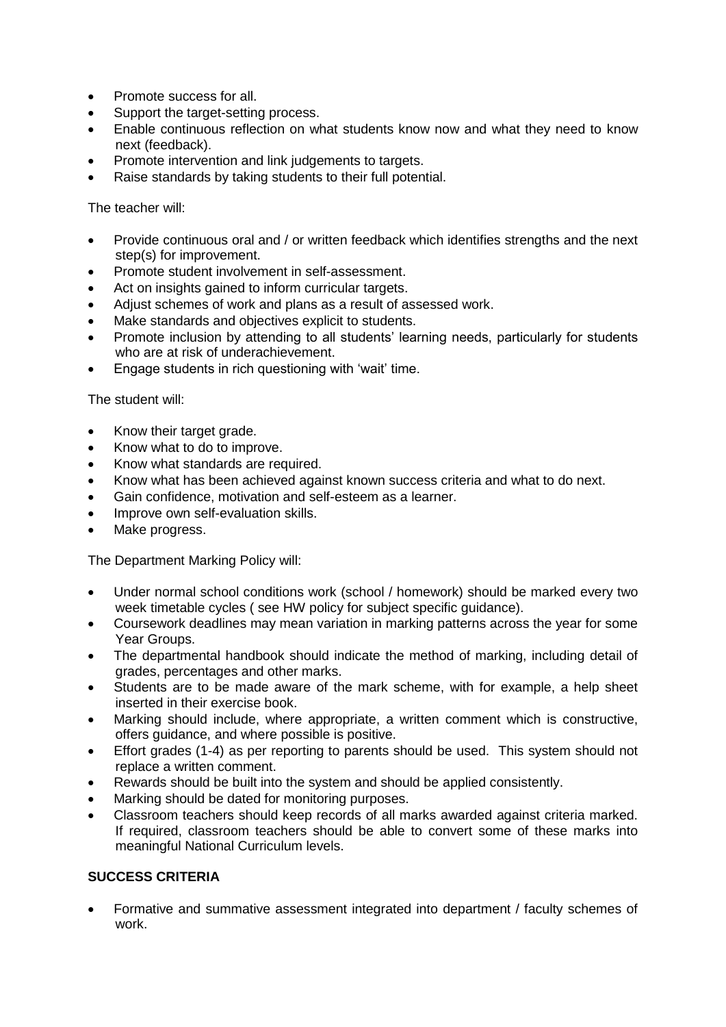- Promote success for all.
- Support the target-setting process.
- Enable continuous reflection on what students know now and what they need to know next (feedback).
- Promote intervention and link judgements to targets.
- Raise standards by taking students to their full potential.

The teacher will:

- Provide continuous oral and / or written feedback which identifies strengths and the next step(s) for improvement.
- Promote student involvement in self-assessment.
- Act on insights gained to inform curricular targets.
- Adjust schemes of work and plans as a result of assessed work.
- Make standards and objectives explicit to students.
- Promote inclusion by attending to all students' learning needs, particularly for students who are at risk of underachievement.
- Engage students in rich questioning with 'wait' time.

The student will:

- Know their target grade.
- Know what to do to improve.
- Know what standards are required.
- Know what has been achieved against known success criteria and what to do next.
- Gain confidence, motivation and self-esteem as a learner.
- Improve own self-evaluation skills.
- Make progress.

The Department Marking Policy will:

- Under normal school conditions work (school / homework) should be marked every two week timetable cycles ( see HW policy for subject specific guidance).
- Coursework deadlines may mean variation in marking patterns across the year for some Year Groups.
- The departmental handbook should indicate the method of marking, including detail of grades, percentages and other marks.
- Students are to be made aware of the mark scheme, with for example, a help sheet inserted in their exercise book.
- Marking should include, where appropriate, a written comment which is constructive, offers guidance, and where possible is positive.
- Effort grades (1-4) as per reporting to parents should be used. This system should not replace a written comment.
- Rewards should be built into the system and should be applied consistently.
- Marking should be dated for monitoring purposes.
- Classroom teachers should keep records of all marks awarded against criteria marked. If required, classroom teachers should be able to convert some of these marks into meaningful National Curriculum levels.

## **SUCCESS CRITERIA**

 Formative and summative assessment integrated into department / faculty schemes of work.